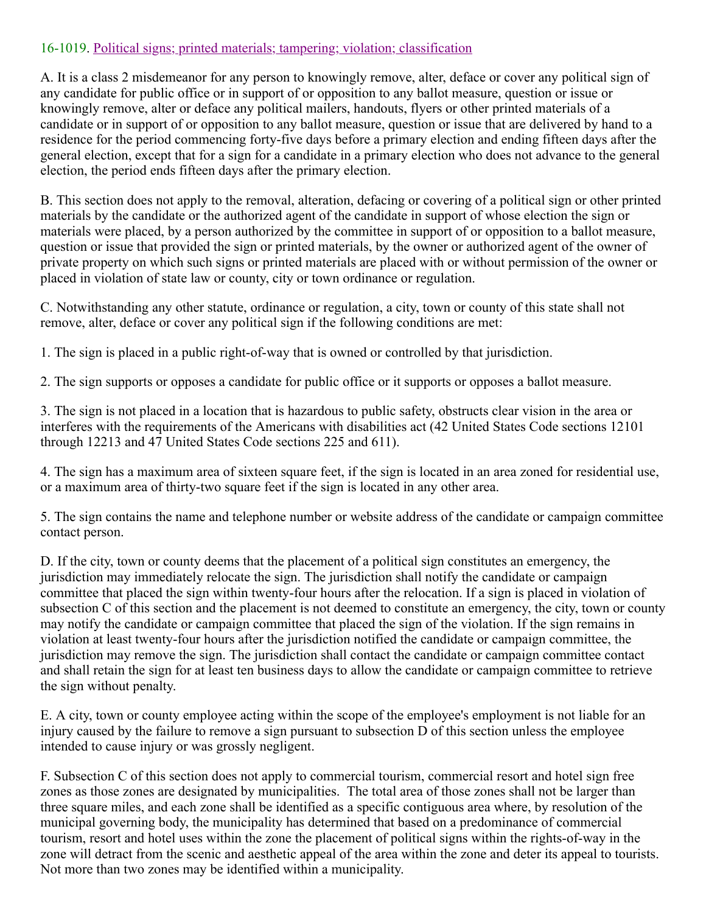## 16-1019. Political signs; printed materials; tampering; violation; classification

A. It is a class 2 misdemeanor for any person to knowingly remove, alter, deface or cover any political sign of any candidate for public office or in support of or opposition to any ballot measure, question or issue or knowingly remove, alter or deface any political mailers, handouts, flyers or other printed materials of a candidate or in support of or opposition to any ballot measure, question or issue that are delivered by hand to a residence for the period commencing forty-five days before a primary election and ending fifteen days after the general election, except that for a sign for a candidate in a primary election who does not advance to the general election, the period ends fifteen days after the primary election.

B. This section does not apply to the removal, alteration, defacing or covering of a political sign or other printed materials by the candidate or the authorized agent of the candidate in support of whose election the sign or materials were placed, by a person authorized by the committee in support of or opposition to a ballot measure, question or issue that provided the sign or printed materials, by the owner or authorized agent of the owner of private property on which such signs or printed materials are placed with or without permission of the owner or placed in violation of state law or county, city or town ordinance or regulation.

C. Notwithstanding any other statute, ordinance or regulation, a city, town or county of this state shall not remove, alter, deface or cover any political sign if the following conditions are met:

1. The sign is placed in a public right-of-way that is owned or controlled by that jurisdiction.

2. The sign supports or opposes a candidate for public office or it supports or opposes a ballot measure.

3. The sign is not placed in a location that is hazardous to public safety, obstructs clear vision in the area or interferes with the requirements of the Americans with disabilities act (42 United States Code sections 12101 through 12213 and 47 United States Code sections 225 and 611).

4. The sign has a maximum area of sixteen square feet, if the sign is located in an area zoned for residential use, or a maximum area of thirty-two square feet if the sign is located in any other area.

5. The sign contains the name and telephone number or website address of the candidate or campaign committee contact person.

D. If the city, town or county deems that the placement of a political sign constitutes an emergency, the jurisdiction may immediately relocate the sign. The jurisdiction shall notify the candidate or campaign committee that placed the sign within twenty-four hours after the relocation. If a sign is placed in violation of subsection C of this section and the placement is not deemed to constitute an emergency, the city, town or county may notify the candidate or campaign committee that placed the sign of the violation. If the sign remains in violation at least twenty-four hours after the jurisdiction notified the candidate or campaign committee, the jurisdiction may remove the sign. The jurisdiction shall contact the candidate or campaign committee contact and shall retain the sign for at least ten business days to allow the candidate or campaign committee to retrieve the sign without penalty.

E. A city, town or county employee acting within the scope of the employee's employment is not liable for an injury caused by the failure to remove a sign pursuant to subsection D of this section unless the employee intended to cause injury or was grossly negligent.

F. Subsection C of this section does not apply to commercial tourism, commercial resort and hotel sign free zones as those zones are designated by municipalities. The total area of those zones shall not be larger than three square miles, and each zone shall be identified as a specific contiguous area where, by resolution of the municipal governing body, the municipality has determined that based on a predominance of commercial tourism, resort and hotel uses within the zone the placement of political signs within the rights-of-way in the zone will detract from the scenic and aesthetic appeal of the area within the zone and deter its appeal to tourists. Not more than two zones may be identified within a municipality.